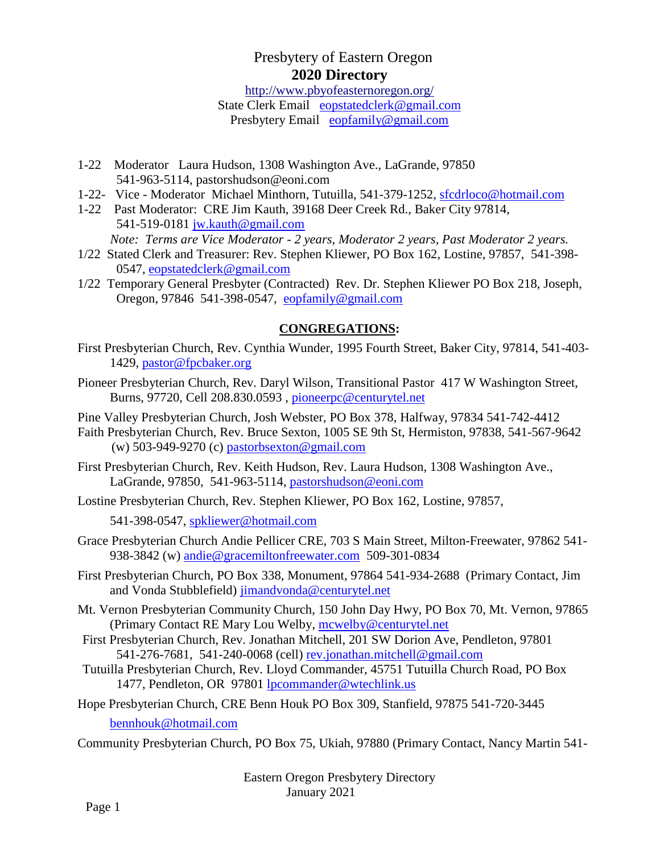# Presbytery of Eastern Oregon **2020 Directory**

[http://www.pbyofeasternoregon.org/](about:blank)

State Clerk Email [eopstatedclerk@gmail.com](about:blank) Presbytery Email [eopfamily@gmail.com](about:blank)

- 1-22 Moderator Laura Hudson, 1308 Washington Ave., LaGrande, 97850 541-963-5114, pastorshudson@eoni.com
- 1-22- Vice Moderator Michael Minthorn, Tutuilla, 541-379-1252, [sfcdrloco@hotmail.com](about:blank)
- 1-22 Past Moderator: CRE Jim Kauth, 39168 Deer Creek Rd., Baker City 97814, 541-519-0181 [jw.kauth@gmail.com](about:blank) *Note: Terms are Vice Moderator - 2 years, Moderator 2 years, Past Moderator 2 years.*
- 1/22 Stated Clerk and Treasurer: Rev. Stephen Kliewer, PO Box 162, Lostine, 97857, 541-398- 0547, [eopstatedclerk@gmail.com](about:blank)
- 1/22 Temporary General Presbyter (Contracted) Rev. Dr. Stephen Kliewer PO Box 218, Joseph, Oregon, 97846 541-398-0547, [eopfamily@gmail.com](about:blank)

### **[CONGREGATIONS:](about:blank)**

- First Presbyterian Church, Rev. Cynthia Wunder, 1995 Fourth Street, Baker City, 97814, 541-403- 1429, [pastor@fpcbaker.org](about:blank)
- Pioneer Presbyterian Church, Rev. Daryl Wilson, Transitional Pastor 417 W Washington Street, Burns, 97720, Cell 208.830.0593 , [pioneerpc@centurytel.net](about:blank)

Pine Valley Presbyterian Church, Josh Webster, PO Box 378, Halfway, 97834 541-742-4412

- Faith Presbyterian Church, Rev. Bruce Sexton, 1005 SE 9th St, Hermiston, 97838, 541-567-9642 (w)  $503-949-9270$  (c)  $pastorbsexton@gmail.com$
- First Presbyterian Church, Rev. Keith Hudson, Rev. Laura Hudson, 1308 Washington Ave., LaGrande, 97850, 541-963-5114, [pastorshudson@eoni.com](about:blank)

Lostine Presbyterian Church, Rev. Stephen Kliewer, PO Box 162, Lostine, 97857,

541-398-0547, [spkliewer@hotmail.com](about:blank)

Grace Presbyterian Church Andie Pellicer CRE, 703 S Main Street, Milton-Freewater, 97862 541- 938-3842 (w) [andie@gracemiltonfreewater.com](about:blank) 509-301-0834

First Presbyterian Church, PO Box 338, Monument, 97864 541-934-2688 (Primary Contact, Jim and Vonda Stubblefield) [jimandvonda@centurytel.net](about:blank)

- Mt. Vernon Presbyterian Community Church, 150 John Day Hwy, PO Box 70, Mt. Vernon, 97865 (Primary Contact RE Mary Lou Welby, [mcwelby@centurytel.net](about:blank)
- First Presbyterian Church, Rev. Jonathan Mitchell, 201 SW Dorion Ave, Pendleton, 97801 541-276-7681, 541-240-0068 (cell) rev.jonathan.mitchell@gmail.com
- Tutuilla Presbyterian Church, Rev. Lloyd Commander, 45751 Tutuilla Church Road, PO Box 1477, Pendleton, OR 97801 [lpcommander@wtechlink.us](about:blank)
- Hope Presbyterian Church, CRE Benn Houk PO Box 309, Stanfield, 97875 541-720-3445

[bennhouk@hotmail.com](about:blank)

Community Presbyterian Church, PO Box 75, Ukiah, 97880 (Primary Contact, Nancy Martin 541-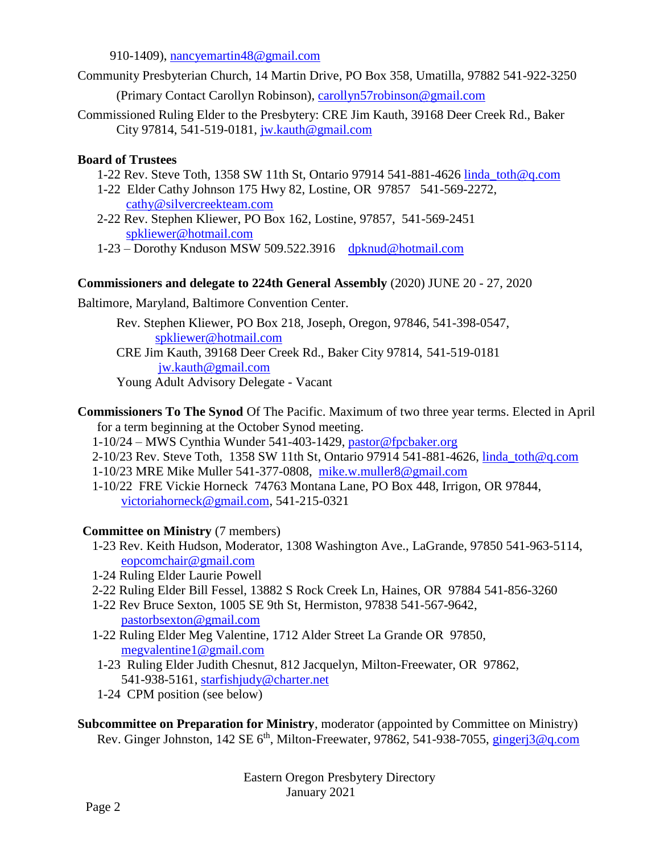910-1409), [nancyemartin48@gmail.com](about:blank)

Community Presbyterian Church, 14 Martin Drive, PO Box 358, Umatilla, 97882 541-922-3250

(Primary Contact Carollyn Robinson), [carollyn57robinson@gmail.com](about:blank)

Commissioned Ruling Elder to the Presbytery: CRE Jim Kauth, 39168 Deer Creek Rd., Baker City 97814, 541-519-0181, [jw.kauth@gmail.com](about:blank)

#### **Board of Trustees**

- 1-22 Rev. Steve Toth, 1358 SW 11th St, Ontario 97914 541-881-4626 [linda\\_toth@q.com](about:blank)
- 1-22 Elder Cathy Johnson 175 Hwy 82, Lostine, OR 97857 541-569-2272, [cathy@silvercreekteam.com](about:blank)
- 2-22 Rev. Stephen Kliewer, PO Box 162, Lostine, 97857, 541-569-2451 [spkliewer@hotmail.com](about:blank)
- 1-23 Dorothy Knduson MSW 509.522.3916 [dpknud@hotmail.com](mailto:dpknud@hotmail.com)

### **Commissioners and delegate to 224th General Assembly** (2020) JUNE 20 - 27, 2020

Baltimore, Maryland, Baltimore Convention Center.

Rev. Stephen Kliewer, PO Box 218, Joseph, Oregon, 97846, 541-398-0547, [spkliewer@hotmail.com](about:blank)

CRE Jim Kauth, 39168 Deer Creek Rd., Baker City 97814, 541-519-0181 [jw.kauth@gmail.com](about:blank)

Young Adult Advisory Delegate - Vacant

- **Commissioners To The Synod** Of The Pacific. Maximum of two three year terms. Elected in April for a term beginning at the October Synod meeting.
	- 1-10/24 MWS Cynthia Wunder 541-403-1429, [pastor@fpcbaker.org](mailto:pastor@fpcbaker.org)
	- 2-10/23 Rev. Steve Toth, 1358 SW 11th St, Ontario 97914 541-881-4626, [linda\\_toth@q.com](about:blank)
	- 1-10/23 MRE Mike Muller 541-377-0808, [mike.w.muller8@gmail.com](about:blank)
	- 1-10/22 FRE Vickie Horneck 74763 Montana Lane, PO Box 448, Irrigon, OR 97844, [victoriahorneck@gmail.com,](about:blank) 541-215-0321

# **Committee on Ministry** (7 members)

- 1-23 Rev. Keith Hudson, Moderator, 1308 Washington Ave., LaGrande, 97850 541-963-5114, [eopcomchair@gmail.com](about:blank)
- 1-24 Ruling Elder Laurie Powell
- 2-22 Ruling Elder Bill Fessel, 13882 S Rock Creek Ln, Haines, OR 97884 541-856-3260
- 1-22 Rev Bruce Sexton, 1005 SE 9th St, Hermiston, 97838 541-567-9642, [pastorbsexton@gmail.com](about:blank)
- 1-22 Ruling Elder Meg Valentine, 1712 Alder Street La Grande OR 97850, [megvalentine1@gmail.com](about:blank)
- 1-23 Ruling Elder Judith Chesnut, 812 Jacquelyn, Milton-Freewater, OR 97862, 541-938-5161, [starfishjudy@charter.net](about:blank)
- 1-24 CPM position (see below)

**Subcommittee on Preparation for Ministry**, moderator (appointed by Committee on Ministry) Rev. Ginger Johnston, 142 SE 6<sup>th</sup>, Milton-Freewater, 97862, 541-938-7055, *gingerj3@q.com*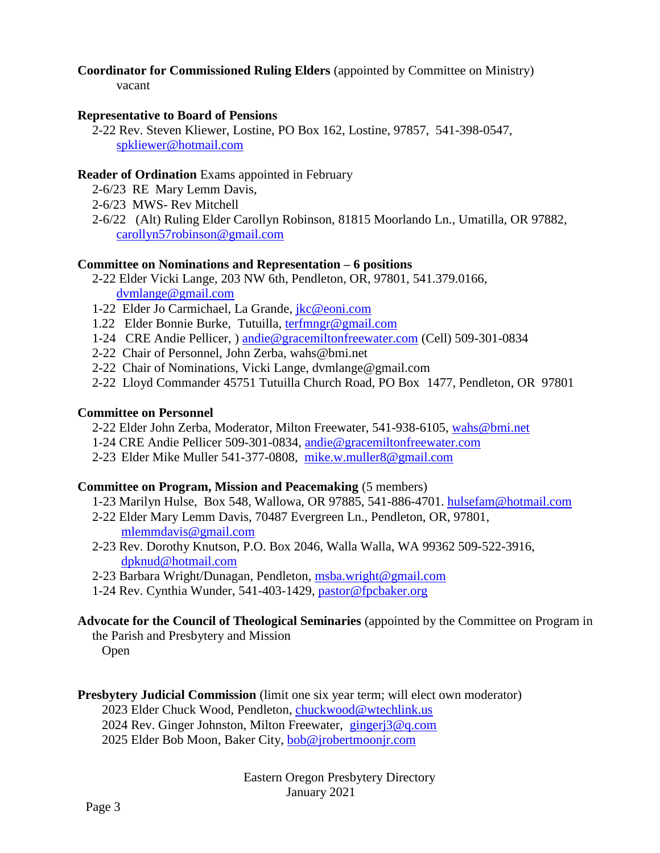# **Coordinator for Commissioned Ruling Elders** (appointed by Committee on Ministry)

#### vacant

#### **Representative to Board of Pensions**

2-22 Rev. Steven Kliewer, Lostine, PO Box 162, Lostine, 97857, 541-398-0547, [spkliewer@hotmail.com](about:blank)

#### **Reader of Ordination** Exams appointed in February

- 2-6/23 RE Mary Lemm Davis,
- 2-6/23 MWS- Rev Mitchell
- 2-6/22 (Alt) Ruling Elder Carollyn Robinson, 81815 Moorlando Ln., Umatilla, OR 97882, [carollyn57robinson@gmail.com](about:blank)

#### **Committee on Nominations and Representation – 6 positions**

- 2-22 Elder Vicki Lange, 203 NW 6th, Pendleton, OR, 97801, 541.379.0166, [dvmlange@gmail.com](about:blank)
- 1-22 Elder Jo Carmichael, La Grande, [jkc@eoni.com](about:blank)
- 1.22 Elder Bonnie Burke, Tutuilla, [terfmngr@gmail.com](about:blank)
- 1-24 CRE Andie Pellicer, ) [andie@gracemiltonfreewater.com](about:blank) (Cell) 509-301-0834
- 2-22 Chair of Personnel, John Zerba, wahs@bmi.net
- 2-22 Chair of Nominations, Vicki Lange, dvmlange@gmail.com
- 2-22 Lloyd Commander 45751 Tutuilla Church Road, PO Box 1477, Pendleton, OR 97801

#### **Committee on Personnel**

- 2-22 Elder John Zerba, Moderator, Milton Freewater, 541-938-6105, [wahs@bmi.net](about:blank)
- 1-24 CRE Andie Pellicer 509-301-0834, [andie@gracemiltonfreewater.com](about:blank)
- 2-23 Elder Mike Muller 541-377-0808, [mike.w.muller8@gmail.com](about:blank)

# **Committee on Program, Mission and Peacemaking** (5 members)

- 1-23 Marilyn Hulse, Box 548, Wallowa, OR 97885, 541-886-4701. [hulsefam@hotmail.com](about:blank)
- 2-22 Elder Mary Lemm Davis, 70487 Evergreen Ln., Pendleton, OR, 97801, [mlemmdavis@gmail.com](about:blank)
- 2-23 Rev. Dorothy Knutson, P.O. Box 2046, Walla Walla, WA 99362 509-522-3916, [dpknud@hotmail.com](about:blank)
- 2-23 Barbara Wright/Dunagan, Pendleton, [msba.wright@gmail.com](about:blank)
- 1-24 Rev. Cynthia Wunder, 541-403-1429, [pastor@fpcbaker.org](about:blank)

# **Advocate for the Council of Theological Seminaries** (appointed by the Committee on Program in

the Parish and Presbytery and Mission Open

# **Presbytery Judicial Commission** (limit one six year term; will elect own moderator)

- 2023 Elder Chuck Wood, Pendleton, [chuckwood@wtechlink.us](about:blank)
- 2024 Rev. Ginger Johnston, Milton Freewater, [gingerj3@q.com](about:blank)
- 2025 Elder Bob Moon, Baker City, [bob@jrobertmoonjr.com](about:blank)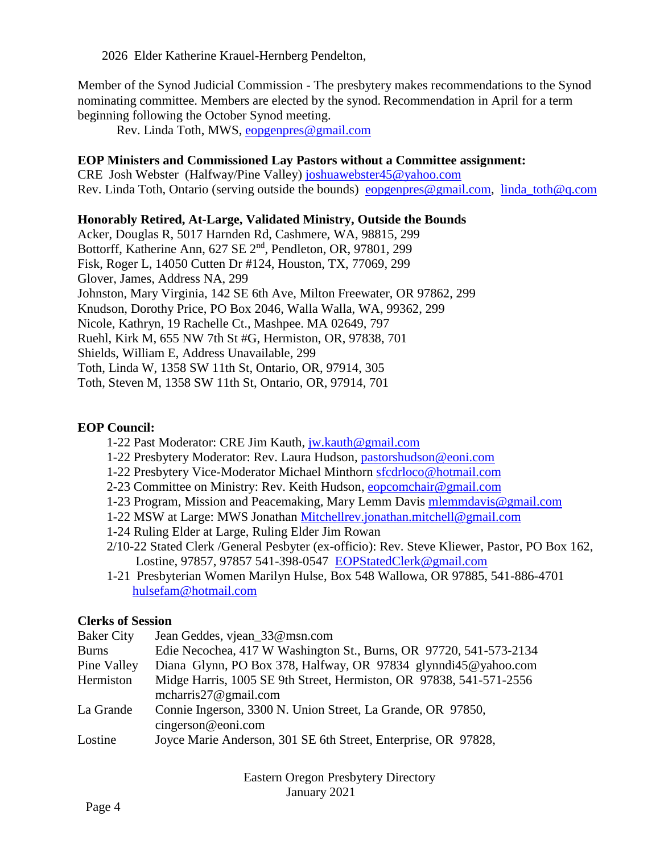2026 Elder Katherine Krauel-Hernberg Pendelton,

Member of the Synod Judicial Commission - The presbytery makes recommendations to the Synod nominating committee. Members are elected by the synod. Recommendation in April for a term beginning following the October Synod meeting.

Rev. Linda Toth, MWS, [eopgenpres@gmail.com](about:blank)

#### **EOP Ministers and Commissioned Lay Pastors without a Committee assignment:**

CRE Josh Webster (Halfway/Pine Valley) [joshuawebster45@yahoo.com](about:blank) Rev. Linda Toth, Ontario (serving outside the bounds) [eopgenpres@gmail.com,](about:blank) [linda\\_toth@q.com](about:blank)

#### **Honorably Retired, At-Large, Validated Ministry, Outside the Bounds**

Acker, Douglas R, 5017 Harnden Rd, Cashmere, WA, 98815, 299 Bottorff, Katherine Ann, 627 SE 2<sup>nd</sup>, Pendleton, OR, 97801, 299 Fisk, Roger L, 14050 Cutten Dr #124, Houston, TX, 77069, 299 Glover, James, Address NA, 299 Johnston, Mary Virginia, 142 SE 6th Ave, Milton Freewater, OR 97862, 299 Knudson, Dorothy Price, PO Box 2046, Walla Walla, WA, 99362, 299 Nicole, Kathryn, 19 Rachelle Ct., Mashpee. MA 02649, 797 Ruehl, Kirk M, 655 NW 7th St #G, Hermiston, OR, 97838, 701 Shields, William E, Address Unavailable, 299 Toth, Linda W, 1358 SW 11th St, Ontario, OR, 97914, 305 Toth, Steven M, 1358 SW 11th St, Ontario, OR, 97914, 701

#### **EOP Council:**

- 1-22 Past Moderator: CRE Jim Kauth, [jw.kauth@gmail.com](about:blank)
- 1-22 Presbytery Moderator: Rev. Laura Hudson, [pastorshudson@eoni.com](about:blank)
- 1-22 Presbytery Vice-Moderator Michael Minthorn [sfcdrloco@hotmail.com](about:blank)
- 2-23 Committee on Ministry: Rev. Keith Hudson, [eopcomchair@gmail.com](about:blank)
- 1-23 Program, Mission and Peacemaking, Mary Lemm Davis [mlemmdavis@gmail.com](about:blank)
- 1-22 MSW at Large: MWS Jonathan [Mitchellrev.jonathan.mitchell@gmail.com](about:blank)
- 1-24 Ruling Elder at Large, Ruling Elder Jim Rowan
- 2/10-22 Stated Clerk /General Pesbyter (ex-officio): Rev. Steve Kliewer, Pastor, PO Box 162, Lostine, 97857, 97857 541-398-0547 [EOPStatedClerk@gmail.com](about:blank)
- 1-21 Presbyterian Women Marilyn Hulse, Box 548 Wallowa, OR 97885, 541-886-4701 [hulsefam@hotmail.com](about:blank)

#### **Clerks of Session**

| <b>Baker City</b> | Jean Geddes, vjean 33@msn.com                                                                   |
|-------------------|-------------------------------------------------------------------------------------------------|
| <b>Burns</b>      | Edie Necochea, 417 W Washington St., Burns, OR 97720, 541-573-2134                              |
| Pine Valley       | Diana Glynn, PO Box 378, Halfway, OR 97834 glynndi45@yahoo.com                                  |
| Hermiston         | Midge Harris, 1005 SE 9th Street, Hermiston, OR 97838, 541-571-2556<br>mcharris $27@$ gmail.com |
| La Grande         | Connie Ingerson, 3300 N. Union Street, La Grande, OR 97850,<br>cingerson@eoni.com               |
| Lostine           | Joyce Marie Anderson, 301 SE 6th Street, Enterprise, OR 97828,                                  |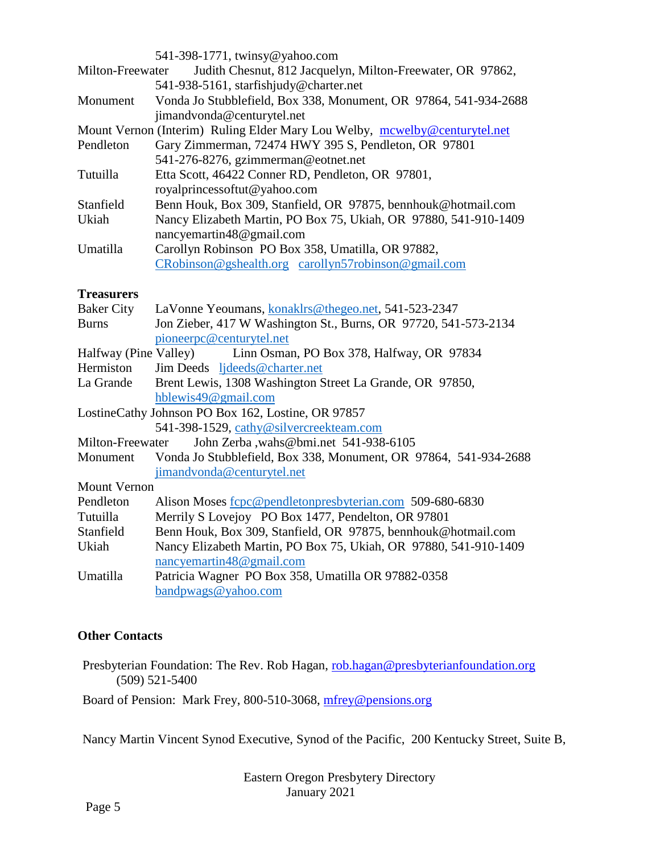|                                                                            | 541-398-1771, twinsy@yahoo.com                                   |  |
|----------------------------------------------------------------------------|------------------------------------------------------------------|--|
| Milton-Freewater                                                           | Judith Chesnut, 812 Jacquelyn, Milton-Freewater, OR 97862,       |  |
|                                                                            | 541-938-5161, starfishjudy@charter.net                           |  |
| Monument                                                                   | Vonda Jo Stubblefield, Box 338, Monument, OR 97864, 541-934-2688 |  |
|                                                                            | jimandvonda@centurytel.net                                       |  |
| Mount Vernon (Interim) Ruling Elder Mary Lou Welby, mcwelby@centurytel.net |                                                                  |  |
| Pendleton                                                                  | Gary Zimmerman, 72474 HWY 395 S, Pendleton, OR 97801             |  |
|                                                                            | 541-276-8276, gzimmerman@eotnet.net                              |  |
| Tutuilla                                                                   | Etta Scott, 46422 Conner RD, Pendleton, OR 97801,                |  |
|                                                                            | royalprincessoftut@yahoo.com                                     |  |
| Stanfield                                                                  | Benn Houk, Box 309, Stanfield, OR 97875, bennhouk@hotmail.com    |  |
| Ukiah                                                                      | Nancy Elizabeth Martin, PO Box 75, Ukiah, OR 97880, 541-910-1409 |  |
|                                                                            | nancyemartin48@gmail.com                                         |  |
| Umatilla                                                                   | Carollyn Robinson PO Box 358, Umatilla, OR 97882,                |  |
|                                                                            | CRobinson@gshealth.org carollyn57robinson@gmail.com              |  |
| <b>Treasurers</b>                                                          |                                                                  |  |
| <b>Baker City</b>                                                          | LaVonne Yeoumans, konaklrs@thegeo.net, 541-523-2347              |  |
| <b>Burns</b>                                                               | Jon Zieber, 417 W Washington St., Burns, OR 97720, 541-573-2134  |  |
|                                                                            | pioneerpc@centurytel.net                                         |  |
| Halfway (Pine Valley)                                                      | Linn Osman, PO Box 378, Halfway, OR 97834                        |  |
| Hermiston                                                                  | Jim Deeds ljdeeds@charter.net                                    |  |
| La Grande                                                                  | Brent Lewis, 1308 Washington Street La Grande, OR 97850,         |  |
|                                                                            | hblewis49@gmail.com                                              |  |
| LostineCathy Johnson PO Box 162, Lostine, OR 97857                         |                                                                  |  |
|                                                                            | 541-398-1529, cathy@silvercreekteam.com                          |  |
| Milton-Freewater                                                           | John Zerba ,wahs@bmi.net 541-938-6105                            |  |
| Monument                                                                   | Vonda Jo Stubblefield, Box 338, Monument, OR 97864, 541-934-2688 |  |
|                                                                            | jimandvonda@centurytel.net                                       |  |
| <b>Mount Vernon</b>                                                        |                                                                  |  |
| Pendleton                                                                  | Alison Moses fcpc@pendletonpresbyterian.com 509-680-6830         |  |
| Tutuilla                                                                   | Merrily S Lovejoy PO Box 1477, Pendelton, OR 97801               |  |
| Stanfield                                                                  | Benn Houk, Box 309, Stanfield, OR 97875, bennhouk@hotmail.com    |  |
| Ukiah                                                                      | Nancy Elizabeth Martin, PO Box 75, Ukiah, OR 97880, 541-910-1409 |  |
|                                                                            | nancyemartin48@gmail.com                                         |  |

Umatilla Patricia Wagner PO Box 358, Umatilla OR 97882-0358 [bandpwags@yahoo.com](about:blank)

#### **Other Contacts**

Presbyterian Foundation: The Rev. Rob Hagan, [rob.hagan@presbyterianfoundation.org](about:blank) (509) 521-5400

Board of Pension: Mark Frey, 800-510-3068, [mfrey@pensions.org](about:blank)

Nancy Martin Vincent Synod Executive, Synod of the Pacific, 200 Kentucky Street, Suite B,